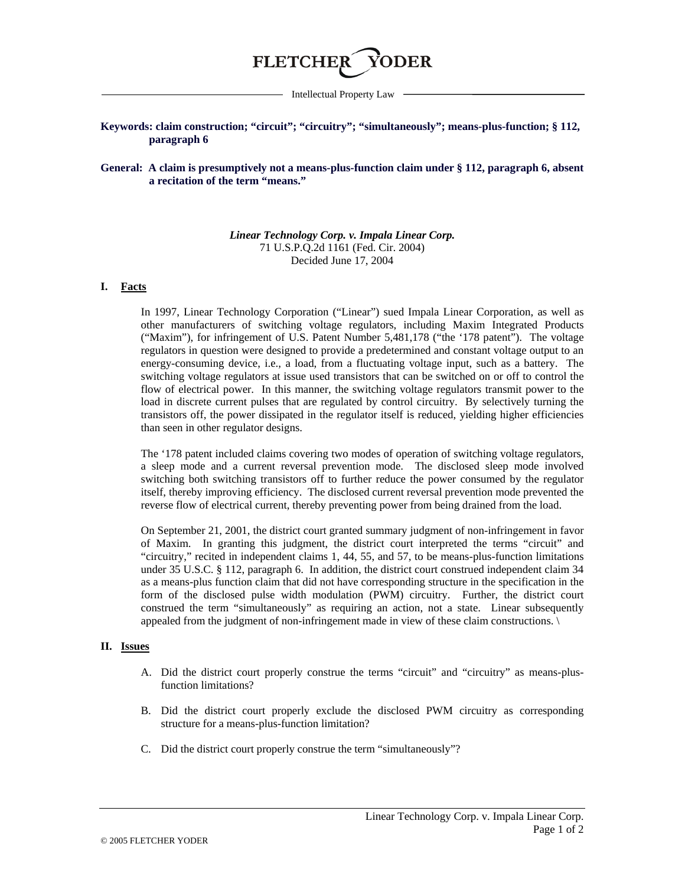

Intellectual Property Law

# **Keywords: claim construction; "circuit"; "circuitry"; "simultaneously"; means-plus-function; § 112, paragraph 6**

## **General: A claim is presumptively not a means-plus-function claim under § 112, paragraph 6, absent a recitation of the term "means."**

# *Linear Technology Corp. v. Impala Linear Corp.* 71 U.S.P.Q.2d 1161 (Fed. Cir. 2004) Decided June 17, 2004

### **I. Facts**

In 1997, Linear Technology Corporation ("Linear") sued Impala Linear Corporation, as well as other manufacturers of switching voltage regulators, including Maxim Integrated Products ("Maxim"), for infringement of U.S. Patent Number 5,481,178 ("the '178 patent"). The voltage regulators in question were designed to provide a predetermined and constant voltage output to an energy-consuming device, i.e., a load, from a fluctuating voltage input, such as a battery. The switching voltage regulators at issue used transistors that can be switched on or off to control the flow of electrical power. In this manner, the switching voltage regulators transmit power to the load in discrete current pulses that are regulated by control circuitry. By selectively turning the transistors off, the power dissipated in the regulator itself is reduced, yielding higher efficiencies than seen in other regulator designs.

The '178 patent included claims covering two modes of operation of switching voltage regulators, a sleep mode and a current reversal prevention mode. The disclosed sleep mode involved switching both switching transistors off to further reduce the power consumed by the regulator itself, thereby improving efficiency. The disclosed current reversal prevention mode prevented the reverse flow of electrical current, thereby preventing power from being drained from the load.

On September 21, 2001, the district court granted summary judgment of non-infringement in favor of Maxim. In granting this judgment, the district court interpreted the terms "circuit" and "circuitry," recited in independent claims 1, 44, 55, and 57, to be means-plus-function limitations under 35 U.S.C. § 112, paragraph 6. In addition, the district court construed independent claim 34 as a means-plus function claim that did not have corresponding structure in the specification in the form of the disclosed pulse width modulation (PWM) circuitry. Further, the district court construed the term "simultaneously" as requiring an action, not a state. Linear subsequently appealed from the judgment of non-infringement made in view of these claim constructions. \

#### **II. Issues**

- A. Did the district court properly construe the terms "circuit" and "circuitry" as means-plusfunction limitations?
- B. Did the district court properly exclude the disclosed PWM circuitry as corresponding structure for a means-plus-function limitation?
- C. Did the district court properly construe the term "simultaneously"?